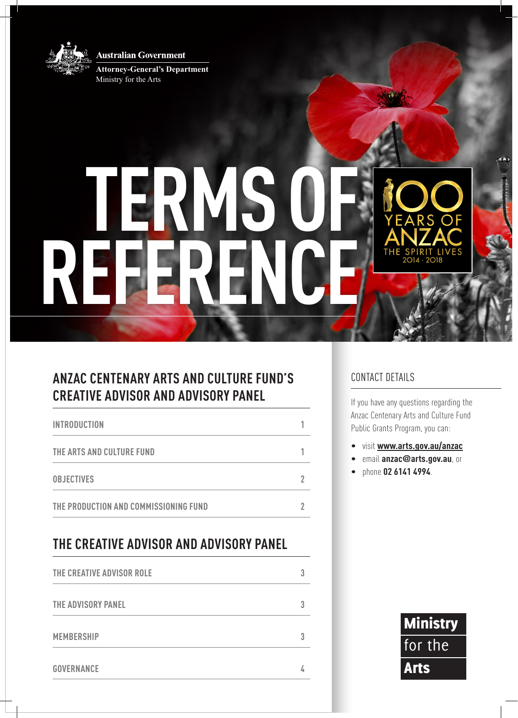**Australian Government** 



**Attorney-General's Department** Ministry for the Arts

# **TERMS OF REFERENCE**

## **ANZAC CENTENARY ARTS AND CULTURE FUND'S CREATIVE ADVISOR AND ADVISORY PANEL**

| <b>INTRODUCTION</b>                   |  |
|---------------------------------------|--|
| THE ARTS AND CULTURE FUND             |  |
| <b>OBJECTIVES</b>                     |  |
| THE PRODUCTION AND COMMISSIONING FUND |  |

# **THE CREATIVE ADVISOR AND ADVISORY PANEL**

| THE CREATIVE ADVISOR ROLE |  |
|---------------------------|--|
| THE ADVISORY PANEL        |  |
| <b>MEMBERSHIP</b>         |  |
| <b>GOVERNANCE</b>         |  |

### CONTACT DETAILS

If you have any questions regarding the Anzac Centenary Arts and Culture Fund Public Grants Program, you can:

- • visit **www.arts.gov.au/anzac**
- • email **anzac@arts.gov.au**, or
- • phone **02 6141 4994**.

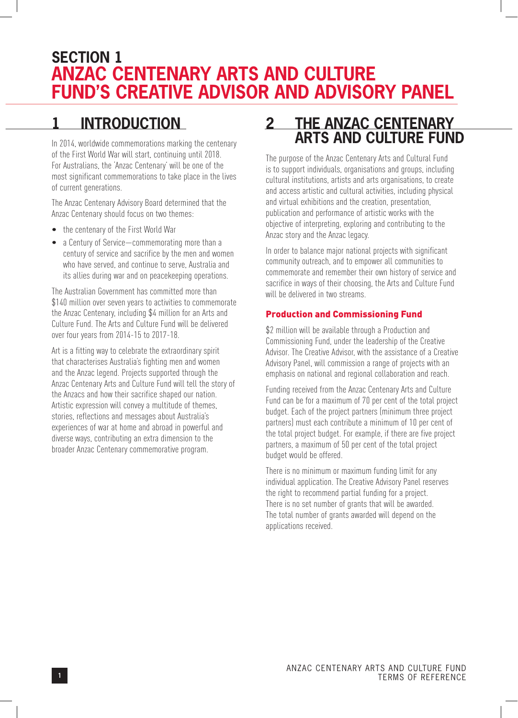# **SECTION 1 ANZAC CENTENARY ARTS AND CULTURE FUND'S CREATIVE ADVISOR AND ADVISORY PANEL**

# **1 INTRODUCTION**

In 2014, worldwide commemorations marking the centenary of the First World War will start, continuing until 2018. For Australians, the 'Anzac Centenary' will be one of the most significant commemorations to take place in the lives of current generations.

The Anzac Centenary Advisory Board determined that the Anzac Centenary should focus on two themes:

- the centenary of the First World War
- a Century of Service—commemorating more than a century of service and sacrifice by the men and women who have served, and continue to serve, Australia and its allies during war and on peacekeeping operations.

The Australian Government has committed more than \$140 million over seven years to activities to commemorate the Anzac Centenary, including \$4 million for an Arts and Culture Fund. The Arts and Culture Fund will be delivered over four years from 2014-15 to 2017-18.

Art is a fitting way to celebrate the extraordinary spirit that characterises Australia's fighting men and women and the Anzac legend. Projects supported through the Anzac Centenary Arts and Culture Fund will tell the story of the Anzacs and how their sacrifice shaped our nation. Artistic expression will convey a multitude of themes, stories, reflections and messages about Australia's experiences of war at home and abroad in powerful and diverse ways, contributing an extra dimension to the broader Anzac Centenary commemorative program.

## **2 THE ANZAC CENTENARY ARTS AND CULTURE FUND**

The purpose of the Anzac Centenary Arts and Cultural Fund is to support individuals, organisations and groups, including cultural institutions, artists and arts organisations, to create and access artistic and cultural activities, including physical and virtual exhibitions and the creation, presentation, publication and performance of artistic works with the objective of interpreting, exploring and contributing to the Anzac story and the Anzac legacy.

In order to balance major national projects with significant community outreach, and to empower all communities to commemorate and remember their own history of service and sacrifice in ways of their choosing, the Arts and Culture Fund will be delivered in two streams.

#### Production and Commissioning Fund

\$2 million will be available through a Production and Commissioning Fund, under the leadership of the Creative Advisor. The Creative Advisor, with the assistance of a Creative Advisory Panel, will commission a range of projects with an emphasis on national and regional collaboration and reach.

Funding received from the Anzac Centenary Arts and Culture Fund can be for a maximum of 70 per cent of the total project budget. Each of the project partners (minimum three project partners) must each contribute a minimum of 10 per cent of the total project budget. For example, if there are five project partners, a maximum of 50 per cent of the total project budget would be offered.

There is no minimum or maximum funding limit for any individual application. The Creative Advisory Panel reserves the right to recommend partial funding for a project. There is no set number of grants that will be awarded. The total number of grants awarded will depend on the applications received.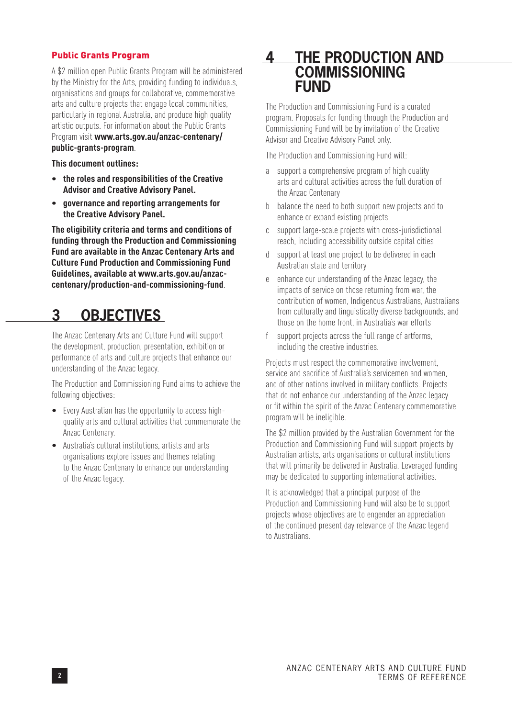#### Public Grants Program

A \$2 million open Public Grants Program will be administered by the Ministry for the Arts, providing funding to individuals, organisations and groups for collaborative, commemorative arts and culture projects that engage local communities, particularly in regional Australia, and produce high quality artistic outputs. For information about the Public Grants Program visit **www.arts.gov.au/anzac-centenary/ public-grants-program**.

**This document outlines:**

- **• therolesand responsibilitiesof the Creative Advisor and Creative Advisory Panel.**
- **• governanceand reporting arrangementsfor the Creative Advisory Panel.**

**The eligibility criteria and terms and conditions of funding through the Production and Commissioning Fund are available in the Anzac Centenary Arts and Culture Fund Production and Commissioning Fund Guidelines, available at www.arts.gov.au/anzaccentenary/production-and-commissioning-fund**.

## **3 OBJECTIVES**

The Anzac Centenary Arts and Culture Fund will support the development, production, presentation, exhibition or performance of arts and culture projects that enhance our understanding of the Anzac legacy.

The Production and Commissioning Fund aims to achieve the following objectives:

- Every Australian has the opportunity to access highquality arts and cultural activities that commemorate the Anzac Centenary.
- • Australia's cultural institutions, artists and arts organisations explore issues and themes relating to the Anzac Centenary to enhance our understanding of the Anzac legacy.

## **4 THE PRODUCTION AND COMMISSIONING FUND**

The Production and Commissioning Fund is a curated program. Proposals for funding through the Production and Commissioning Fund will be by invitation of the Creative Advisor and Creative Advisory Panel only.

The Production and Commissioning Fund will:

- a support a comprehensive program of high quality arts and cultural activities across the full duration of the Anzac Centenary
- b balance the need to both support new projects and to enhance or expand existing projects
- c support large-scale projects with cross-jurisdictional reach, including accessibility outside capital cities
- d support at least one project to be delivered in each Australian state and territory
- e enhance our understanding of the Anzac legacy, the impacts of service on those returning from war, the contribution of women, Indigenous Australians, Australians from culturally and linguistically diverse backgrounds, and those on the home front, in Australia's war efforts
- f support projects across the full range of artforms, including the creative industries.

Projects must respect the commemorative involvement, service and sacrifice of Australia's servicemen and women, and of other nations involved in military conflicts. Projects that do not enhance our understanding of the Anzac legacy or fit within the spirit of the Anzac Centenary commemorative program will be ineligible.

The \$2 million provided by the Australian Government for the Production and Commissioning Fund will support projects by Australian artists, arts organisations or cultural institutions that will primarily be delivered in Australia. Leveraged funding may be dedicated to supporting international activities.

It is acknowledged that a principal purpose of the Production and Commissioning Fund will also be to support projects whose objectives are to engender an appreciation of the continued present day relevance of the Anzac legend to Australians.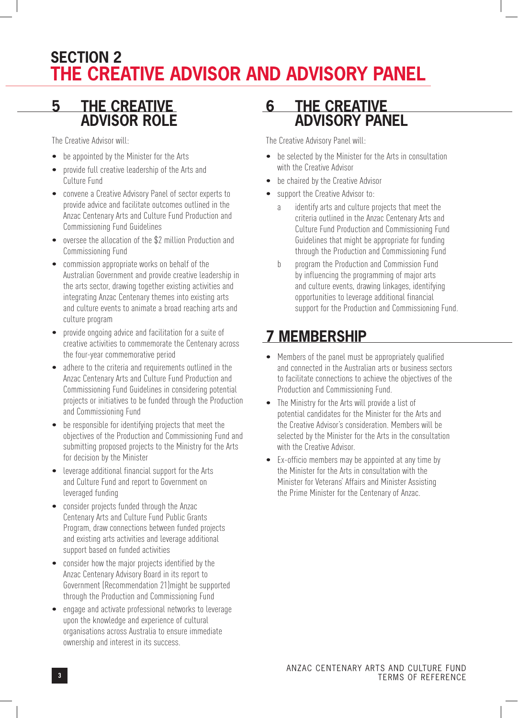# **SECTION 2 THE CREATIVE ADVISOR AND ADVISORY PANEL**

## **5 THE CREATIVE ADVISOR ROLE**

The Creative Advisor will:

- be appointed by the Minister for the Arts
- • provide full creative leadership of the Arts and Culture Fund
- • convene a Creative Advisory Panel of sector experts to provide advice and facilitate outcomes outlined in the Anzac Centenary Arts and Culture Fund Production and Commissioning Fund Guidelines
- oversee the allocation of the \$2 million Production and Commissioning Fund
- commission appropriate works on behalf of the Australian Government and provide creative leadership in the arts sector, drawing together existing activities and integrating Anzac Centenary themes into existing arts and culture events to animate a broad reaching arts and culture program
- provide ongoing advice and facilitation for a suite of creative activities to commemorate the Centenary across the four-year commemorative period
- • adhere to the criteria and requirements outlined in the Anzac Centenary Arts and Culture Fund Production and Commissioning Fund Guidelines in considering potential projects or initiatives to be funded through the Production and Commissioning Fund
- be responsible for identifying projects that meet the objectives of the Production and Commissioning Fund and submitting proposed projects to the Ministry for the Arts for decision by the Minister
- leverage additional financial support for the Arts and Culture Fund and report to Government on leveraged funding
- consider projects funded through the Anzac Centenary Arts and Culture Fund Public Grants Program, draw connections between funded projects and existing arts activities and leverage additional support based on funded activities
- consider how the major projects identified by the Anzac Centenary Advisory Board in its report to Government (Recommendation 21)might be supported through the Production and Commissioning Fund
- engage and activate professional networks to leverage upon the knowledge and experience of cultural organisations across Australia to ensure immediate ownership and interest in its success.

## **6 THE CREATIVE ADVISORY PANEL**

The Creative Advisory Panel will:

- be selected by the Minister for the Arts in consultation with the Creative Advisor
- be chaired by the Creative Advisor
- support the Creative Advisor to:
	- a identify arts and culture projects that meet the criteria outlined in the Anzac Centenary Arts and Culture Fund Production and Commissioning Fund Guidelines that might be appropriate for funding through the Production and Commissioning Fund
	- b program the Production and Commission Fund by influencing the programming of major arts and culture events, drawing linkages, identifying opportunities to leverage additional financial support for the Production and Commissioning Fund.

# **7 MEMBERSHIP**

- Members of the panel must be appropriately qualified and connected in the Australian arts or business sectors to facilitate connections to achieve the objectives of the Production and Commissioning Fund.
- The Ministry for the Arts will provide a list of potential candidates for the Minister for the Arts and the Creative Advisor's consideration. Members will be selected by the Minister for the Arts in the consultation with the Creative Advisor.
- Ex-officio members may be appointed at any time by the Minister for the Arts in consultation with the Minister for Veterans' Affairs and Minister Assisting the Prime Minister for the Centenary of Anzac.